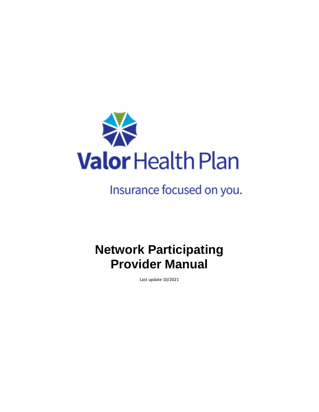

# Insurance focused on you.

# **Network Participating Provider Manual**

Last update 10/2021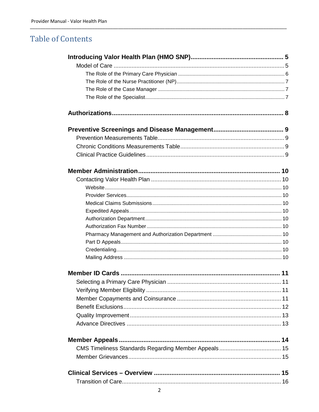# **Table of Contents**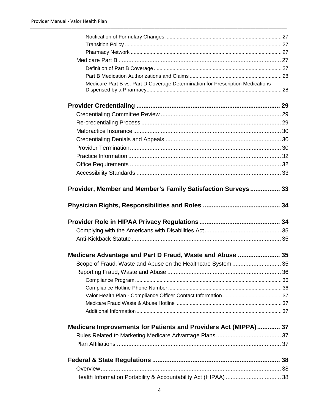| Medicare Part B vs. Part D Coverage Determination for Prescription Medications |  |
|--------------------------------------------------------------------------------|--|
|                                                                                |  |
|                                                                                |  |
|                                                                                |  |
|                                                                                |  |
|                                                                                |  |
|                                                                                |  |
|                                                                                |  |
|                                                                                |  |
|                                                                                |  |
| Provider, Member and Member's Family Satisfaction Surveys  33                  |  |
|                                                                                |  |
|                                                                                |  |
|                                                                                |  |
|                                                                                |  |
| Medicare Advantage and Part D Fraud, Waste and Abuse  35                       |  |
| Scope of Fraud, Waste and Abuse on the Healthcare System  35                   |  |
|                                                                                |  |
|                                                                                |  |
|                                                                                |  |
|                                                                                |  |
|                                                                                |  |
|                                                                                |  |
| Medicare Improvements for Patients and Providers Act (MIPPA) 37                |  |
|                                                                                |  |
|                                                                                |  |
|                                                                                |  |
|                                                                                |  |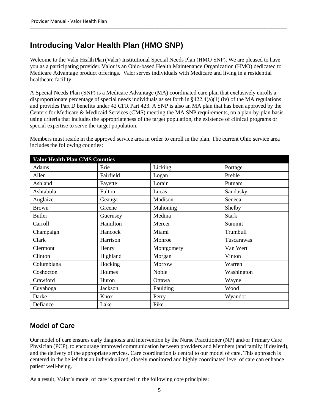# **Introducing Valor Health Plan (HMO SNP)**

Welcome to the Valor Health Plan (Valor) Institutional Special Needs Plan (HMO SNP). We are pleased to have you as a participating provider. Valor is an Ohio-based Health Maintenance Organization (HMO) dedicated to Medicare Advantage product offerings. Valor serves individuals with Medicare and living in a residential healthcare facility.

A Special Needs Plan (SNP) is a Medicare Advantage (MA) coordinated care plan that exclusively enrolls a disproportionate percentage of special needs individuals as set forth in  $\S422.4(a)(1)$  (iv) of the MA regulations and provides Part D benefits under 42 CFR Part 423. A SNP is also an MA plan that has been approved by the Centers for Medicare & Medicaid Services (CMS) meeting the MA SNP requirements, on a plan-by-plan basis using criteria that includes the appropriateness of the target population, the existence of clinical programs or special expertise to serve the target population.

Members must reside in the approved service area in order to enroll in the plan. The current Ohio service area includes the following counties:

| <b>Valor Health Plan CMS Counties</b> |           |            |              |
|---------------------------------------|-----------|------------|--------------|
| Adams                                 | Erie      | Licking    | Portage      |
| Allen                                 | Fairfield | Logan      | Preble       |
| Ashland                               | Fayette   | Lorain     | Putnam       |
| Ashtabula                             | Fulton    | Lucas      | Sandusky     |
| Auglaize                              | Geauga    | Madison    | Seneca       |
| <b>Brown</b>                          | Greene    | Mahoning   | Shelby       |
| <b>Butler</b>                         | Guernsey  | Medina     | <b>Stark</b> |
| Carroll                               | Hamilton  | Mercer     | Summit       |
| Champaign                             | Hancock   | Miami      | Trumbull     |
| Clark                                 | Harrison  | Monroe     | Tuscarawas   |
| Clermont                              | Henry     | Montgomery | Van Wert     |
| Clinton                               | Highland  | Morgan     | Vinton       |
| Columbiana                            | Hocking   | Morrow     | Warren       |
| Coshocton                             | Holmes    | Noble      | Washington   |
| Crawford                              | Huron     | Ottawa     | Wayne        |
| Cuyahoga                              | Jackson   | Paulding   | Wood         |
| Darke                                 | Knox      | Perry      | Wyandot      |
| Defiance                              | Lake      | Pike       |              |

# **Model of Care**

Our model of care ensures early diagnosis and intervention by the Nurse Practitioner (NP) and/or Primary Care Physician (PCP), to encourage improved communication between providers and Members (and family, if desired), and the delivery of the appropriate services. Care coordination is central to our model of care. This approach is centered in the belief that an individualized, closely monitored and highly coordinated level of care can enhance patient well-being.

As a result, Valor's model of care is grounded in the following core principles: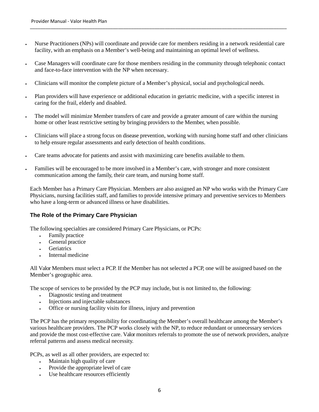- Nurse Practitioners (NPs) will coordinate and provide care for members residing in a network residential care facility, with an emphasis on a Member's well-being and maintaining an optimal level of wellness.
- Case Managers will coordinate care for those members residing in the community through telephonic contact and face-to-face intervention with the NP when necessary.
- Clinicians will monitor the complete picture of a Member's physical, social and psychological needs.
- Plan providers will have experience or additional education in geriatric medicine, with a specific interest in caring for the frail, elderly and disabled.
- The model will minimize Member transfers of care and provide a greater amount of care within the nursing home or other least restrictive setting by bringing providers to the Member, when possible.
- Clinicians will place a strong focus on disease prevention, working with nursing home staff and other clinicians to help ensure regular assessments and early detection of health conditions.
- Care teams advocate for patients and assist with maximizing care benefits available to them.
- Families will be encouraged to be more involved in a Member's care, with stronger and more consistent communication among the family, their care team, and nursing home staff.

Each Member has a Primary Care Physician. Members are also assigned an NP who works with the Primary Care Physicians, nursing facilities staff, and families to provide intensive primary and preventive services to Members who have a long-term or advanced illness or have disabilities.

#### **The Role of the Primary Care Physician**

The following specialties are considered Primary Care Physicians, or PCPs:

- Family practice
- General practice
- **Geriatrics**
- Internal medicine

All Valor Members must select a PCP. If the Member has not selected a PCP, one will be assigned based on the Member's geographic area.

The scope of services to be provided by the PCP may include, but is not limited to, the following:

- Diagnostic testing and treatment
- is injections and injectable substances
- Office or nursing facility visits for illness, injury and prevention

The PCP has the primary responsibility for coordinating the Member's overall healthcare among the Member's various healthcare providers. The PCP works closely with the NP, to reduce redundant or unnecessary services and provide the most cost-effective care. Valor monitors referrals to promote the use of network providers, analyze referral patterns and assess medical necessity.

PCPs, as well as all other providers, are expected to:

- Maintain high quality of care
- Provide the appropriate level of care
- Use healthcare resources efficiently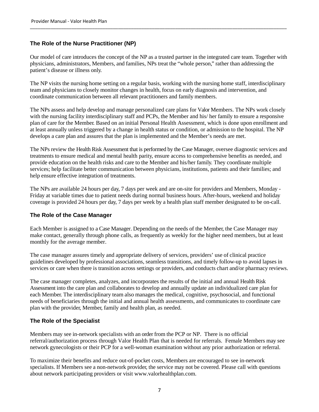### **The Role of the Nurse Practitioner (NP)**

Our model of care introduces the concept of the NP as a trusted partner in the integrated care team. Together with physicians, administrators, Members, and families, NPs treat the "whole person," rather than addressing the patient's disease or illness only.

The NP visits the nursing home setting on a regular basis, working with the nursing home staff, interdisciplinary team and physicians to closely monitor changes in health, focus on early diagnosis and intervention, and coordinate communication between all relevant practitioners and family members.

The NPs assess and help develop and manage personalized care plans for Valor Members. The NPs work closely with the nursing facility interdisciplinary staff and PCPs, the Member and his/ her family to ensure a responsive plan of care for the Member. Based on an initial Personal Health Assessment, which is done upon enrollment and at least annually unless triggered by a change in health status or condition, or admission to the hospital. The NP develops a care plan and assures that the plan is implemented and the Member's needs are met.

The NPs review the Health Risk Assessment that is performed by the Case Manager, oversee diagnostic services and treatments to ensure medical and mental health parity, ensure access to comprehensive benefits as needed, and provide education on the health risks and care to the Member and his/her family. They coordinate multiple services; help facilitate better communication between physicians, institutions, patients and their families; and help ensure effective integration of treatments.

The NPs are available 24 hours per day, 7 days per week and are on-site for providers and Members, Monday - Friday at variable times due to patient needs during normal business hours. After-hours, weekend and holiday coverage is provided 24 hours per day, 7 days per week by a health plan staff member designated to be on-call.

#### **The Role of the Case Manager**

Each Member is assigned to a Case Manager. Depending on the needs of the Member, the Case Manager may make contact, generally through phone calls, as frequently as weekly for the higher need members, but at least monthly for the average member.

The case manager assures timely and appropriate delivery of services, providers' use of clinical practice guidelines developed by professional associations, seamless transitions, and timely follow-up to avoid lapses in services or care when there is transition across settings or providers, and conducts chart and/or pharmacy reviews.

The case manager completes, analyzes, and incorporates the results of the initial and annual Health Risk Assessment into the care plan and collaborates to develop and annually update an individualized care plan for each Member. The interdisciplinary team also manages the medical, cognitive, psychosocial, and functional needs of beneficiaries through the initial and annual health assessments, and communicates to coordinate care plan with the provider, Member, family and health plan, as needed.

#### **The Role of the Specialist**

Members may see in-network specialists with an order from the PCP or NP. There is no official referral/authorization process through Valor Health Plan that is needed for referrals. Female Members may see network gynecologists or their PCP for a well-woman examination without any prior authorization or referral.

To maximize their benefits and reduce out-of-pocket costs, Members are encouraged to see in-network specialists. If Members see a non-network provider, the service may not be covered. Please call with questions about network participating providers or visit www.valorhealthplan.com.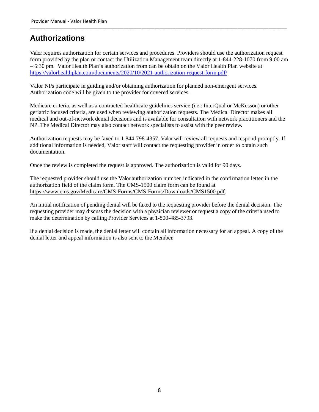# **Authorizations**

Valor requires authorization for certain services and procedures. Providers should use the authorization request form provided by the plan or contact the Utilization Management team directly at 1-844-228-1070 from 9:00 am – 5:30 pm. Valor Health Plan's authorization from can be obtain on the Valor Health Plan website at https://valorhealthplan.com/documents/2020/10/2021-authorization-request-form.pdf/

\_\_\_\_\_\_\_\_\_\_\_\_\_\_\_\_\_\_\_\_\_\_\_\_\_\_\_\_\_\_\_\_\_\_\_\_\_\_\_\_\_\_\_\_\_\_\_\_\_\_\_\_\_\_\_\_\_\_\_\_\_\_\_\_\_\_\_\_\_\_\_\_\_\_\_\_\_\_\_\_\_\_\_\_\_\_\_\_\_\_\_\_\_\_\_\_\_\_\_

Valor NPs participate in guiding and/or obtaining authorization for planned non-emergent services. Authorization code will be given to the provider for covered services.

Medicare criteria, as well as a contracted healthcare guidelines service (i.e.: InterQual or McKesson) or other geriatric focused criteria, are used when reviewing authorization requests. The Medical Director makes all medical and out-of-network denial decisions and is available for consultation with network practitioners and the NP. The Medical Director may also contact network specialists to assist with the peer review.

Authorization requests may be faxed to 1-844-798-4357. Valor will review all requests and respond promptly. If additional information is needed, Valor staff will contact the requesting provider in order to obtain such documentation.

Once the review is completed the request is approved. The authorization is valid for 90 days.

The requested provider should use the Valor authorization number, indicated in the confirmation letter, in the authorization field of the claim form. The CMS-1500 claim form can be found at https://www.cms.gov/Medicare/CMS-Forms/CMS-Forms/Downloads/CMS1500.pdf.

An initial notification of pending denial will be faxed to the requesting provider before the denial decision. The requesting provider may discuss the decision with a physician reviewer or request a copy of the criteria used to make the determination by calling Provider Services at 1-800-485-3793.

If a denial decision is made, the denial letter will contain all information necessary for an appeal. A copy of the denial letter and appeal information is also sent to the Member.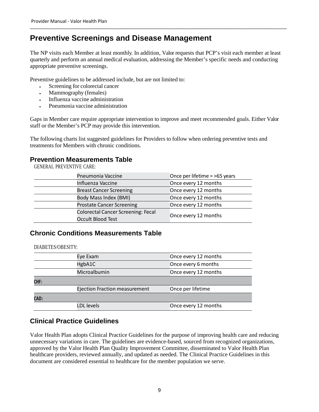# **Preventive Screenings and Disease Management**

The NP visits each Member at least monthly. In addition, Valor requests that PCP's visit each member at least quarterly and perform an annual medical evaluation, addressing the Member's specific needs and conducting appropriate preventive screenings.

\_\_\_\_\_\_\_\_\_\_\_\_\_\_\_\_\_\_\_\_\_\_\_\_\_\_\_\_\_\_\_\_\_\_\_\_\_\_\_\_\_\_\_\_\_\_\_\_\_\_\_\_\_\_\_\_\_\_\_\_\_\_\_\_\_\_\_\_\_\_\_\_\_\_\_\_\_\_\_\_\_\_\_\_\_\_\_\_\_\_\_\_\_\_\_\_\_\_\_

Preventive guidelines to be addressed include, but are not limited to:

- Screening for colorectal cancer
- Mammography (females)
- Influenza vaccine administration
- Pneumonia vaccine administration

Gaps in Member care require appropriate intervention to improve and meet recommended goals. Either Valor staff or the Member's PCP may provide this intervention.

The following charts list suggested guidelines for Providers to follow when ordering preventive tests and treatments for Members with chronic conditions.

### **Prevention Measurements Table**

GENERAL PREVENTIVE CARE:

| Pneumonia Vaccine                                                     | Once per lifetime = >65 years |
|-----------------------------------------------------------------------|-------------------------------|
| <b>Influenza Vaccine</b>                                              | Once every 12 months          |
| <b>Breast Cancer Screening</b>                                        | Once every 12 months          |
| Body Mass Index (BMI)                                                 | Once every 12 months          |
| <b>Prostate Cancer Screening</b>                                      | Once every 12 months          |
| <b>Colorectal Cancer Screening: Fecal</b><br><b>Occult Blood Test</b> | Once every 12 months          |

### **Chronic Conditions Measurements Table**

DIABETES/OBESITY:

|      | Eye Exam                             | Once every 12 months |
|------|--------------------------------------|----------------------|
|      | HgbA1C                               | Once every 6 months  |
|      | Microalbumin                         | Once every 12 months |
| CHF: |                                      |                      |
|      | <b>Ejection Fraction measurement</b> | Once per lifetime    |
| CAD: |                                      |                      |
|      | LDL levels                           | Once every 12 months |

## **Clinical Practice Guidelines**

Valor Health Plan adopts Clinical Practice Guidelines for the purpose of improving health care and reducing unnecessary variations in care. The guidelines are evidence-based, sourced from recognized organizations, approved by the Valor Health Plan Quality Improvement Committee, disseminated to Valor Health Plan healthcare providers, reviewed annually, and updated as needed. The Clinical Practice Guidelines in this document are considered essential to healthcare for the member population we serve.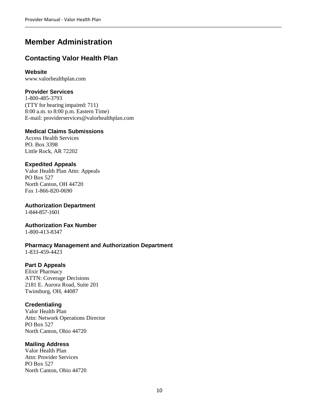# **Member Administration**

# **Contacting Valor Health Plan**

### **Website**

www.valorhealthplan.com

### **Provider Services**

1-800-485-3793 (TTY for hearing impaired: 711) 8:00 a.m. to 8:00 p.m. Eastern Time) E-mail: providerservices@valorhealthplan.com

### **Medical Claims Submissions**

Access Health Services PO. Box 3398 Little Rock, AR 72202

### **Expedited Appeals**

Valor Health Plan Attn: Appeals PO Box 527 North Canton, OH 44720 Fax 1-866-820-0690

**Authorization Department**  1-844-857-1601

### **Authorization Fax Number**

1-800-413-8347

### **Pharmacy Management and Authorization Department**

1-833-459-4423

### **Part D Appeals**

Elixir Pharmacy ATTN: Coverage Decisions 2181 E. Aurora Road, Suite 201 Twinsburg, OH, 44087

### **Credentialing**

Valor Health Plan Attn: Network Operations Director PO Box 527 North Canton, Ohio 44720

### **Mailing Address**

Valor Health Plan Attn: Provider Services PO Box 527 North Canton, Ohio 44720

\_\_\_\_\_\_\_\_\_\_\_\_\_\_\_\_\_\_\_\_\_\_\_\_\_\_\_\_\_\_\_\_\_\_\_\_\_\_\_\_\_\_\_\_\_\_\_\_\_\_\_\_\_\_\_\_\_\_\_\_\_\_\_\_\_\_\_\_\_\_\_\_\_\_\_\_\_\_\_\_\_\_\_\_\_\_\_\_\_\_\_\_\_\_\_\_\_\_\_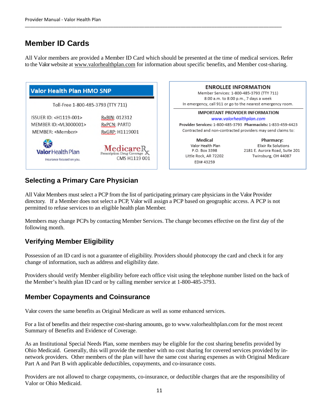# **Member ID Cards**

All Valor members are provided a Member ID Card which should be presented at the time of medical services. Refer to the Valor website at www.valorhealthplan.com for information about specific benefits, and Member cost-sharing.

\_\_\_\_\_\_\_\_\_\_\_\_\_\_\_\_\_\_\_\_\_\_\_\_\_\_\_\_\_\_\_\_\_\_\_\_\_\_\_\_\_\_\_\_\_\_\_\_\_\_\_\_\_\_\_\_\_\_\_\_\_\_\_\_\_\_\_\_\_\_\_\_\_\_\_\_\_\_\_\_\_\_\_\_\_\_\_\_\_\_\_\_\_\_\_\_\_\_\_

| <b>Valor Health Plan HMO SNP</b><br>Toll-Free 1-800-485-3793 (TTY 711) |                                                           | <b>ENROLLEE INFORMATION</b><br>Member Services: 1-800-485-3793 (TTY 711)<br>8:00 a.m. to 8:00 p.m., 7 days a week<br>In emergency, call 911 or go to the nearest emergency room. |                                                                                           |
|------------------------------------------------------------------------|-----------------------------------------------------------|----------------------------------------------------------------------------------------------------------------------------------------------------------------------------------|-------------------------------------------------------------------------------------------|
|                                                                        |                                                           |                                                                                                                                                                                  |                                                                                           |
| ₩<br><b>Valor</b> Health Plan<br>Insurance focused on you.             | MedicareR.<br>Prescription Drug Coverage<br>CMS H1119 001 | Medical<br>Valor Health Plan<br>P.O. Box 3398<br>Little Rock, AR 72202<br>EDI# 43259                                                                                             | Pharmacy:<br>Elixir Rx Solutions<br>2181 E. Aurora Road, Suite 201<br>Twinsburg, OH 44087 |

# **Selecting a Primary Care Physician**

All Valor Members must select a PCP from the list of participating primary care physicians in the Valor Provider directory. If a Member does not select a PCP, Valor will assign a PCP based on geographic access. A PCP is not permitted to refuse services to an eligible health plan Member.

Members may change PCPs by contacting Member Services. The change becomes effective on the first day of the following month.

# **Verifying Member Eligibility**

Possession of an ID card is not a guarantee of eligibility. Providers should photocopy the card and check it for any change of information, such as address and eligibility date.

Providers should verify Member eligibility before each office visit using the telephone number listed on the back of the Member's health plan ID card or by calling member service at 1-800-485-3793.

### **Member Copayments and Coinsurance**

Valor covers the same benefits as Original Medicare as well as some enhanced services.

For a list of benefits and their respective cost-sharing amounts, go to www.valorhealthplan.com for the most recent Summary of Benefits and Evidence of Coverage.

As an Institutional Special Needs Plan, some members may be eligible for the cost sharing benefits provided by Ohio Medicaid. Generally, this will provide the member with no cost sharing for covered services provided by innetwork providers. Other members of the plan will have the same cost sharing expenses as with Original Medicare Part A and Part B with applicable deductibles, copayments, and co-insurance costs.

Providers are not allowed to charge copayments, co-insurance, or deductible charges that are the responsibility of Valor or Ohio Medicaid.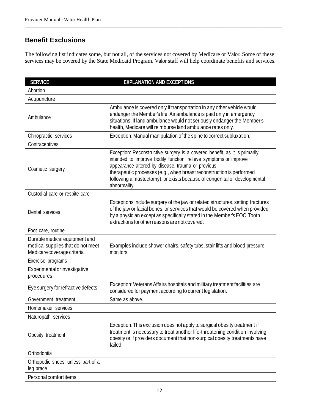# **Benefit Exclusions**

The following list indicates some, but not all, of the services not covered by Medicare or Valor. Some of these services may be covered by the State Medicaid Program. Valor staff will help coordinate benefits and services.

\_\_\_\_\_\_\_\_\_\_\_\_\_\_\_\_\_\_\_\_\_\_\_\_\_\_\_\_\_\_\_\_\_\_\_\_\_\_\_\_\_\_\_\_\_\_\_\_\_\_\_\_\_\_\_\_\_\_\_\_\_\_\_\_\_\_\_\_\_\_\_\_\_\_\_\_\_\_\_\_\_\_\_\_\_\_\_\_\_\_\_\_\_\_\_\_\_\_\_

| <b>SERVICE</b>                                                                                   | <b>EXPLANATION AND EXCEPTIONS</b>                                                                                                                                                                                                                                                                                                                                        |
|--------------------------------------------------------------------------------------------------|--------------------------------------------------------------------------------------------------------------------------------------------------------------------------------------------------------------------------------------------------------------------------------------------------------------------------------------------------------------------------|
| Abortion                                                                                         |                                                                                                                                                                                                                                                                                                                                                                          |
| Acupuncture                                                                                      |                                                                                                                                                                                                                                                                                                                                                                          |
| Ambulance                                                                                        | Ambulance is covered only if transportation in any other vehicle would<br>endanger the Member's life. Air ambulance is paid only in emergency<br>situations. If land ambulance would not seriously endanger the Member's<br>health, Medicare will reimburse land ambulance rates only.                                                                                   |
| Chiropractic services                                                                            | Exception: Manual manipulation of the spine to correct subluxation.                                                                                                                                                                                                                                                                                                      |
| Contraceptives                                                                                   |                                                                                                                                                                                                                                                                                                                                                                          |
| Cosmetic surgery                                                                                 | Exception: Reconstructive surgery is a covered benefit, as it is primarily<br>intended to improve bodily function, relieve symptoms or improve<br>appearance altered by disease, trauma or previous<br>therapeutic processes (e.g., when breast reconstruction is performed<br>following a mastectomy), or exists because of congenital or developmental<br>abnormality. |
| Custodial care or respite care                                                                   |                                                                                                                                                                                                                                                                                                                                                                          |
| Dental services                                                                                  | Exceptions include surgery of the jaw or related structures, setting fractures<br>of the jaw or facial bones, or services that would be covered when provided<br>by a physician except as specifically stated in the Member's EOC. Tooth<br>extractions for other reasons are not covered.                                                                               |
| Foot care, routine                                                                               |                                                                                                                                                                                                                                                                                                                                                                          |
| Durable medical equipment and<br>medical supplies that do not meet<br>Medicare coverage criteria | Examples include shower chairs, safety tubs, stair lifts and blood pressure<br>monitors.                                                                                                                                                                                                                                                                                 |
| Exercise programs                                                                                |                                                                                                                                                                                                                                                                                                                                                                          |
| Experimental or investigative<br>procedures                                                      |                                                                                                                                                                                                                                                                                                                                                                          |
| Eye surgery for refractive defects                                                               | Exception: Veterans Affairs hospitals and military treatment facilities are<br>considered for payment according to current legislation.                                                                                                                                                                                                                                  |
| Government treatment                                                                             | Same as above.                                                                                                                                                                                                                                                                                                                                                           |
| Homemaker services                                                                               |                                                                                                                                                                                                                                                                                                                                                                          |
| Naturopath services                                                                              |                                                                                                                                                                                                                                                                                                                                                                          |
| Obesity treatment                                                                                | Exception: This exclusion does not apply to surgical obesity treatment if<br>treatment is necessary to treat another life-threatening condition involving<br>obesity or if providers document that non-surgical obesity treatments have<br>failed.                                                                                                                       |
| Orthodontia                                                                                      |                                                                                                                                                                                                                                                                                                                                                                          |
| Orthopedic shoes, unless part of a<br>leg brace                                                  |                                                                                                                                                                                                                                                                                                                                                                          |
| Personal comfort items                                                                           |                                                                                                                                                                                                                                                                                                                                                                          |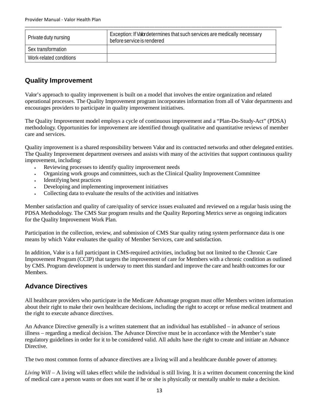| Private duty nursing    | Exception: If Valor determines that such services are medically necessary<br>before service is rendered |
|-------------------------|---------------------------------------------------------------------------------------------------------|
| Sex transformation      |                                                                                                         |
| Work-related conditions |                                                                                                         |

\_\_\_\_\_\_\_\_\_\_\_\_\_\_\_\_\_\_\_\_\_\_\_\_\_\_\_\_\_\_\_\_\_\_\_\_\_\_\_\_\_\_\_\_\_\_\_\_\_\_\_\_\_\_\_\_\_\_\_\_\_\_\_\_\_\_\_\_\_\_\_\_\_\_\_\_\_\_\_\_\_\_\_\_\_\_\_\_\_\_\_\_\_\_\_\_\_\_\_

# **Quality Improvement**

Valor's approach to quality improvement is built on a model that involves the entire organization and related operational processes. The Quality Improvement program incorporates information from all of Valor departments and encourages providers to participate in quality improvement initiatives.

The Quality Improvement model employs a cycle of continuous improvement and a "Plan-Do-Study-Act" (PDSA) methodology. Opportunities for improvement are identified through qualitative and quantitative reviews of member care and services.

Quality improvement is a shared responsibility between Valor and its contracted networks and other delegated entities. The Quality Improvement department oversees and assists with many of the activities that support continuous quality improvement, including:

- Reviewing processes to identify quality improvement needs
- Organizing work groups and committees, such as the Clinical Quality Improvement Committee
- Identifying best practices
- Developing and implementing improvement initiatives
- Collecting data to evaluate the results of the activities and initiatives

Member satisfaction and quality of care/quality of service issues evaluated and reviewed on a regular basis using the PDSA Methodology. The CMS Star program results and the Quality Reporting Metrics serve as ongoing indicators for the Quality Improvement Work Plan.

Participation in the collection, review, and submission of CMS Star quality rating system performance data is one means by which Valor evaluates the quality of Member Services, care and satisfaction.

In addition, Valor is a full participant in CMS-required activities, including but not limited to the Chronic Care Improvement Program (CCIP) that targets the improvement of care for Members with a chronic condition as outlined by CMS. Program development is underway to meet this standard and improve the care and health outcomes for our Members.

### **Advance Directives**

All healthcare providers who participate in the Medicare Advantage program must offer Members written information about their right to make their own healthcare decisions, including the right to accept or refuse medical treatment and the right to execute advance directives.

An Advance Directive generally is a written statement that an individual has established – in advance of serious illness – regarding a medical decision. The Advance Directive must be in accordance with the Member's state regulatory guidelines in order for it to be considered valid. All adults have the right to create and initiate an Advance Directive.

The two most common forms of advance directives are a living will and a healthcare durable power of attorney.

*Living Will* – A living will takes effect while the individual is still living. It is a written document concerning the kind of medical care a person wants or does not want if he or she is physically or mentally unable to make a decision.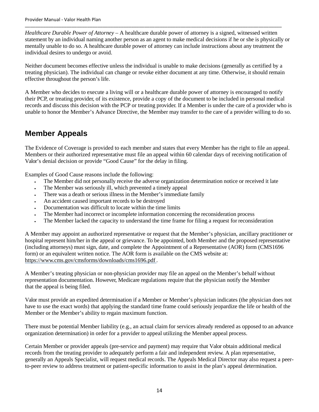*Healthcare Durable Power of Attorney* – A healthcare durable power of attorney is a signed, witnessed written statement by an individual naming another person as an agent to make medical decisions if he or she is physically or mentally unable to do so. A healthcare durable power of attorney can include instructions about any treatment the individual desires to undergo or avoid.

\_\_\_\_\_\_\_\_\_\_\_\_\_\_\_\_\_\_\_\_\_\_\_\_\_\_\_\_\_\_\_\_\_\_\_\_\_\_\_\_\_\_\_\_\_\_\_\_\_\_\_\_\_\_\_\_\_\_\_\_\_\_\_\_\_\_\_\_\_\_\_\_\_\_\_\_\_\_\_\_\_\_\_\_\_\_\_\_\_\_\_\_\_\_\_\_\_\_\_

Neither document becomes effective unless the individual is unable to make decisions (generally as certified by a treating physician). The individual can change or revoke either document at any time. Otherwise, it should remain effective throughout the person's life.

A Member who decides to execute a living will or a healthcare durable power of attorney is encouraged to notify their PCP, or treating provider, of its existence, provide a copy of the document to be included in personal medical records and discuss this decision with the PCP or treating provider. If a Member is under the care of a provider who is unable to honor the Member's Advance Directive, the Member may transfer to the care of a provider willing to do so.

# **Member Appeals**

The Evidence of Coverage is provided to each member and states that every Member has the right to file an appeal. Members or their authorized representative must file an appeal within 60 calendar days of receiving notification of Valor's denial decision or provide "Good Cause" for the delay in filing.

Examples of Good Cause reasons include the following:

- The Member did not personally receive the adverse organization determination notice or received it late
- The Member was seriously ill, which prevented a timely appeal
- There was a death or serious illness in the Member's immediate family
- An accident caused important records to be destroyed
- Documentation was difficult to locate within the time limits
- The Member had incorrect or incomplete information concerning the reconsideration process
- The Member lacked the capacity to understand the time frame for filing a request for reconsideration

A Member may appoint an authorized representative or request that the Member's physician, ancillary practitioner or hospital represent him/her in the appeal or grievance. To be appointed, both Member and the proposed representative (including attorneys) must sign, date, and complete the Appointment of a Representative (AOR) form (CMS1696 form) or an equivalent written notice. The AOR form is available on the CMS website at: https://www.cms.gov/cmsforms/downloads/cms1696.pdf .

A Member's treating physician or non-physician provider may file an appeal on the Member's behalf without representation documentation. However, Medicare regulations require that the physician notify the Member that the appeal is being filed.

Valor must provide an expedited determination if a Member or Member's physician indicates (the physician does not have to use the exact words) that applying the standard time frame could seriously jeopardize the life or health of the Member or the Member's ability to regain maximum function.

There must be potential Member liability (e.g., an actual claim for services already rendered as opposed to an advance organization determination) in order for a provider to appeal utilizing the Member appeal process.

Certain Member or provider appeals (pre-service and payment) may require that Valor obtain additional medical records from the treating provider to adequately perform a fair and independent review. A plan representative, generally an Appeals Specialist, will request medical records. The Appeals Medical Director may also request a peerto-peer review to address treatment or patient-specific information to assist in the plan's appeal determination.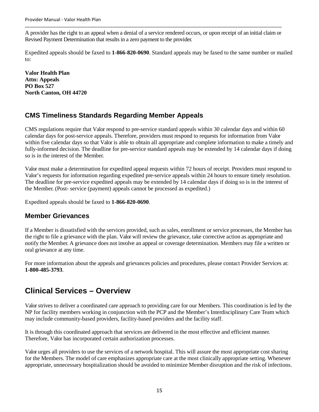A provider has the right to an appeal when a denial of a service rendered occurs, or upon receipt of an initial claim or Revised Payment Determination that results in a zero payment to the provider.

\_\_\_\_\_\_\_\_\_\_\_\_\_\_\_\_\_\_\_\_\_\_\_\_\_\_\_\_\_\_\_\_\_\_\_\_\_\_\_\_\_\_\_\_\_\_\_\_\_\_\_\_\_\_\_\_\_\_\_\_\_\_\_\_\_\_\_\_\_\_\_\_\_\_\_\_\_\_\_\_\_\_\_\_\_\_\_\_\_\_\_\_\_\_\_\_\_\_\_

Expedited appeals should be faxed to **1-866-820-0690**. Standard appeals may be faxed to the same number or mailed to:

**Valor Health Plan Attn: Appeals PO Box 527 North Canton, OH 44720** 

# **CMS Timeliness Standards Regarding Member Appeals**

CMS regulations require that Valor respond to pre-service standard appeals within 30 calendar days and within 60 calendar days for post-service appeals. Therefore, providers must respond to requests for information from Valor within five calendar days so that Valor is able to obtain all appropriate and complete information to make a timely and fully-informed decision. The deadline for pre-service standard appeals may be extended by 14 calendar days if doing so is in the interest of the Member.

Valor must make a determination for expedited appeal requests within 72 hours of receipt. Providers must respond to Valor's requests for information regarding expedited pre-service appeals within 24 hours to ensure timely resolution. The deadline for pre-service expedited appeals may be extended by 14 calendar days if doing so is in the interest of the Member. (Post- service (payment) appeals cannot be processed as expedited.)

Expedited appeals should be faxed to **1-866-820-0690**.

### **Member Grievances**

If a Member is dissatisfied with the services provided, such as sales, enrollment or service processes, the Member has the right to file a grievance with the plan. Valor will review the grievance, take corrective action as appropriate and notify the Member. A grievance does not involve an appeal or coverage determination. Members may file a written or oral grievance at any time.

For more information about the appeals and grievances policies and procedures, please contact Provider Services at: **1-800-485-3793**.

# **Clinical Services – Overview**

Valor strives to deliver a coordinated care approach to providing care for our Members. This coordination is led by the NP for facility members working in conjunction with the PCP and the Member's Interdisciplinary Care Team which may include community-based providers, facility-based providers and the facility staff.

It is through this coordinated approach that services are delivered in the most effective and efficient manner. Therefore, Valor has incorporated certain authorization processes.

Valor urges all providers to use the services of a network hospital. This will assure the most appropriate cost sharing for the Members. The model of care emphasizes appropriate care at the most clinically appropriate setting. Whenever appropriate, unnecessary hospitalization should be avoided to minimize Member disruption and the risk of infections.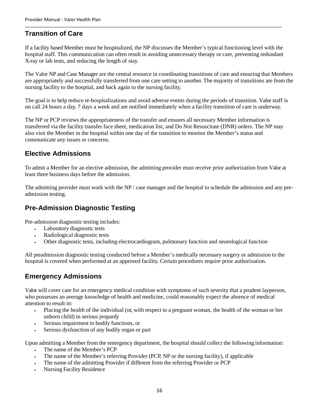# **Transition of Care**

If a facility based Member must be hospitalized, the NP discusses the Member's typical functioning level with the hospital staff. This communication can often result in avoiding unnecessary therapy or care, preventing redundant X-ray or lab tests, and reducing the length of stay.

\_\_\_\_\_\_\_\_\_\_\_\_\_\_\_\_\_\_\_\_\_\_\_\_\_\_\_\_\_\_\_\_\_\_\_\_\_\_\_\_\_\_\_\_\_\_\_\_\_\_\_\_\_\_\_\_\_\_\_\_\_\_\_\_\_\_\_\_\_\_\_\_\_\_\_\_\_\_\_\_\_\_\_\_\_\_\_\_\_\_\_\_\_\_\_\_\_\_\_

The Valor NP and Case Manager are the central resource in coordinating transitions of care and ensuring that Members are appropriately and successfully transferred from one care setting to another. The majority of transitions are from the nursing facility to the hospital, and back again to the nursing facility.

The goal is to help reduce re-hospitalizations and avoid adverse events during the periods of transition. Valor staff is on call 24 hours a day, 7 days a week and are notified immediately when a facility transition of care is underway.

The NP or PCP reviews the appropriateness of the transfer and ensures all necessary Member information is transferred via the facility transfer face sheet, medication list, and Do Not Resuscitate (DNR) orders. The NP may also visit the Member in the hospital within one day of the transition to monitor the Member's status and communicate any issues or concerns.

### **Elective Admissions**

To admit a Member for an elective admission, the admitting provider must receive prior authorization from Valor at least three business days before the admission.

The admitting provider must work with the NP / case manager and the hospital to schedule the admission and any preadmission testing.

# **Pre-Admission Diagnostic Testing**

Pre-admission diagnostic testing includes:

- Laboratory diagnostic tests
- Radiological diagnostic tests
- Other diagnostic tests, including electrocardiogram, pulmonary function and neurological function

All preadmission diagnostic testing conducted before a Member's medically necessary surgery or admission to the hospital is covered when performed at an approved facility. Certain procedures require prior authorization.

# **Emergency Admissions**

Valor will cover care for an emergency medical condition with symptoms of such severity that a prudent layperson, who possesses an average knowledge of health and medicine, could reasonably expect the absence of medical attention to result in:

- Placing the health of the individual (or, with respect to a pregnant woman, the health of the woman or her unborn child) in serious jeopardy
- Serious impairment to bodily functions, or
- Serious dysfunction of any bodily organ or part

Upon admitting a Member from the emergency department, the hospital should collect the following information:

- The name of the Member's PCP
- The name of the Member's referring Provider (PCP, NP or the nursing facility), if applicable
- The name of the admitting Provider if different from the referring Provider or PCP
- Nursing Facility Residence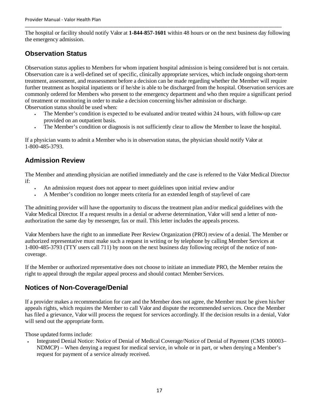The hospital or facility should notify Valor at **1-844-857-1601** within 48 hours or on the next business day following the emergency admission.

\_\_\_\_\_\_\_\_\_\_\_\_\_\_\_\_\_\_\_\_\_\_\_\_\_\_\_\_\_\_\_\_\_\_\_\_\_\_\_\_\_\_\_\_\_\_\_\_\_\_\_\_\_\_\_\_\_\_\_\_\_\_\_\_\_\_\_\_\_\_\_\_\_\_\_\_\_\_\_\_\_\_\_\_\_\_\_\_\_\_\_\_\_\_\_\_\_\_\_

# **Observation Status**

Observation status applies to Members for whom inpatient hospital admission is being considered but is not certain. Observation care is a well-defined set of specific, clinically appropriate services, which include ongoing short-term treatment, assessment, and reassessment before a decision can be made regarding whether the Member will require further treatment as hospital inpatients or if he/she is able to be discharged from the hospital. Observation services are commonly ordered for Members who present to the emergency department and who then require a significant period of treatment or monitoring in order to make a decision concerning his/her admission or discharge. Observation status should be used when:

- The Member's condition is expected to be evaluated and/or treated within 24 hours, with follow-up care provided on an outpatient basis.
- The Member's condition or diagnosis is not sufficiently clear to allow the Member to leave the hospital.

If a physician wants to admit a Member who is in observation status, the physician should notify Valor at 1-800-485-3793.

### **Admission Review**

The Member and attending physician are notified immediately and the case is referred to the Valor Medical Director if:

- An admission request does not appear to meet guidelines upon initial review and/or
- A Member's condition no longer meets criteria for an extended length of stay/level of care

The admitting provider will have the opportunity to discuss the treatment plan and/or medical guidelines with the Valor Medical Director. If a request results in a denial or adverse determination, Valor will send a letter of nonauthorization the same day by messenger, fax or mail. This letter includes the appeals process.

Valor Members have the right to an immediate Peer Review Organization (PRO) review of a denial. The Member or authorized representative must make such a request in writing or by telephone by calling Member Services at 1-800-485-3793 (TTY users call 711) by noon on the next business day following receipt of the notice of noncoverage.

If the Member or authorized representative does not choose to initiate an immediate PRO, the Member retains the right to appeal through the regular appeal process and should contact Member Services.

# **Notices of Non-Coverage/Denial**

If a provider makes a recommendation for care and the Member does not agree, the Member must be given his/her appeals rights, which requires the Member to call Valor and dispute the recommended services. Once the Member has filed a grievance, Valor will process the request for services accordingly. If the decision results in a denial, Valor will send out the appropriate form.

Those updated forms include:

 Integrated Denial Notice: Notice of Denial of Medical Coverage/Notice of Denial of Payment (CMS 100003– NDMCP) – When denying a request for medical service, in whole or in part, or when denying a Member's request for payment of a service already received.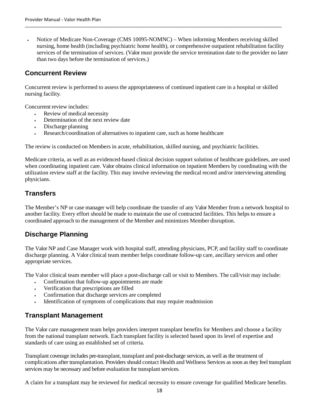Notice of Medicare Non-Coverage (CMS 10095-NOMNC) – When informing Members receiving skilled nursing, home health (including psychiatric home health), or comprehensive outpatient rehabilitation facility services of the termination of services. (Valor must provide the service termination date to the provider no later than two days before the termination of services.)

\_\_\_\_\_\_\_\_\_\_\_\_\_\_\_\_\_\_\_\_\_\_\_\_\_\_\_\_\_\_\_\_\_\_\_\_\_\_\_\_\_\_\_\_\_\_\_\_\_\_\_\_\_\_\_\_\_\_\_\_\_\_\_\_\_\_\_\_\_\_\_\_\_\_\_\_\_\_\_\_\_\_\_\_\_\_\_\_\_\_\_\_\_\_\_\_\_\_\_

## **Concurrent Review**

Concurrent review is performed to assess the appropriateness of continued inpatient care in a hospital or skilled nursing facility.

Concurrent review includes:

- Review of medical necessity
- Determination of the next review date
- Discharge planning
- Research/coordination of alternatives to inpatient care, such as home healthcare

The review is conducted on Members in acute, rehabilitation, skilled nursing, and psychiatric facilities.

Medicare criteria, as well as an evidenced-based clinical decision support solution of healthcare guidelines, are used when coordinating inpatient care. Valor obtains clinical information on inpatient Members by coordinating with the utilization review staff at the facility. This may involve reviewing the medical record and/or interviewing attending physicians.

# **Transfers**

The Member's NP or case manager will help coordinate the transfer of any Valor Member from a network hospital to another facility. Every effort should be made to maintain the use of contracted facilities. This helps to ensure a coordinated approach to the management of the Member and minimizes Member disruption.

### **Discharge Planning**

The Valor NP and Case Manager work with hospital staff, attending physicians, PCP, and facility staff to coordinate discharge planning. A Valor clinical team member helps coordinate follow-up care, ancillary services and other appropriate services.

The Valor clinical team member will place a post-discharge call or visit to Members. The call/visit may include:

- Confirmation that follow-up appointments are made
- Verification that prescriptions are filled
- Confirmation that discharge services are completed
- Identification of symptoms of complications that may require readmission

# **Transplant Management**

The Valor care management team helps providers interpret transplant benefits for Members and choose a facility from the national transplant network. Each transplant facility is selected based upon its level of expertise and standards of care using an established set of criteria.

Transplant coverage includes pre-transplant, transplant and post-discharge services, as well as the treatment of complications after transplantation. Providers should contact Health and Wellness Services as soon as they feel transplant services may be necessary and before evaluation for transplant services.

A claim for a transplant may be reviewed for medical necessity to ensure coverage for qualified Medicare benefits.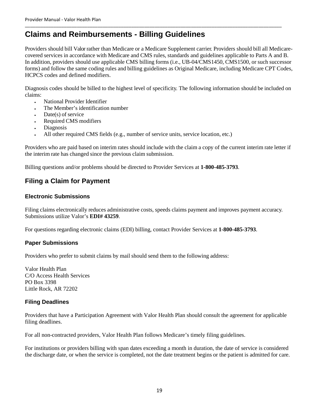# **Claims and Reimbursements - Billing Guidelines**

Providers should bill Valor rather than Medicare or a Medicare Supplement carrier. Providers should bill all Medicarecovered services in accordance with Medicare and CMS rules, standards and guidelines applicable to Parts A and B. In addition, providers should use applicable CMS billing forms (i.e., UB-04/CMS1450, CMS1500, or such successor forms) and follow the same coding rules and billing guidelines as Original Medicare, including Medicare CPT Codes, HCPCS codes and defined modifiers.

\_\_\_\_\_\_\_\_\_\_\_\_\_\_\_\_\_\_\_\_\_\_\_\_\_\_\_\_\_\_\_\_\_\_\_\_\_\_\_\_\_\_\_\_\_\_\_\_\_\_\_\_\_\_\_\_\_\_\_\_\_\_\_\_\_\_\_\_\_\_\_\_\_\_\_\_\_\_\_\_\_\_\_\_\_\_\_\_\_\_\_\_\_\_\_\_\_\_\_

Diagnosis codes should be billed to the highest level of specificity. The following information should be included on claims:

- National Provider Identifier
- The Member's identification number
- Date(s) of service
- Required CMS modifiers
- Diagnosis
- All other required CMS fields (e.g., number of service units, service location, etc.)

Providers who are paid based on interim rates should include with the claim a copy of the current interim rate letter if the interim rate has changed since the previous claim submission.

Billing questions and/or problems should be directed to Provider Services at **1-800-485-3793**.

# **Filing a Claim for Payment**

#### **Electronic Submissions**

Filing claims electronically reduces administrative costs, speeds claims payment and improves payment accuracy. Submissions utilize Valor's **EDI# 43259**.

For questions regarding electronic claims (EDI) billing, contact Provider Services at **1-800-485-3793**.

#### **Paper Submissions**

Providers who prefer to submit claims by mail should send them to the following address:

Valor Health Plan C/O Access Health Services PO Box 3398 Little Rock, AR 72202

### **Filing Deadlines**

Providers that have a Participation Agreement with Valor Health Plan should consult the agreement for applicable filing deadlines.

For all non-contracted providers, Valor Health Plan follows Medicare's timely filing guidelines.

For institutions or providers billing with span dates exceeding a month in duration, the date of service is considered the discharge date, or when the service is completed, not the date treatment begins or the patient is admitted for care.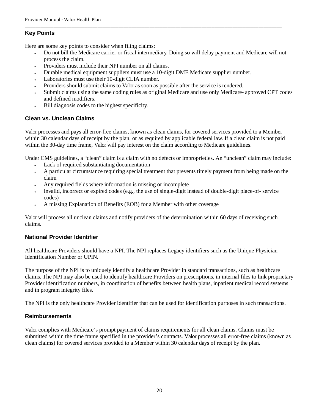### **Key Points**

Here are some key points to consider when filing claims:

 Do not bill the Medicare carrier or fiscal intermediary. Doing so will delay payment and Medicare will not process the claim.

\_\_\_\_\_\_\_\_\_\_\_\_\_\_\_\_\_\_\_\_\_\_\_\_\_\_\_\_\_\_\_\_\_\_\_\_\_\_\_\_\_\_\_\_\_\_\_\_\_\_\_\_\_\_\_\_\_\_\_\_\_\_\_\_\_\_\_\_\_\_\_\_\_\_\_\_\_\_\_\_\_\_\_\_\_\_\_\_\_\_\_\_\_\_\_\_\_\_\_

- Providers must include their NPI number on all claims.
- Durable medical equipment suppliers must use a 10-digit DME Medicare supplier number.
- Laboratories must use their 10-digit CLIA number.
- Providers should submit claims to Valor as soon as possible after the service is rendered.
- Submit claims using the same coding rules as original Medicare and use only Medicare- approved CPT codes and defined modifiers.
- Bill diagnosis codes to the highest specificity.

### **Clean vs. Unclean Claims**

Valor processes and pays all error-free claims, known as clean claims, for covered services provided to a Member within 30 calendar days of receipt by the plan, or as required by applicable federal law. If a clean claim is not paid within the 30-day time frame, Valor will pay interest on the claim according to Medicare guidelines.

Under CMS guidelines, a "clean" claim is a claim with no defects or improprieties. An "unclean" claim may include:

- Lack of required substantiating documentation
- A particular circumstance requiring special treatment that prevents timely payment from being made on the claim
- Any required fields where information is missing or incomplete
- Invalid, incorrect or expired codes (e.g., the use of single-digit instead of double-digit place-of- service codes)
- A missing Explanation of Benefits (EOB) for a Member with other coverage

Valor will process all unclean claims and notify providers of the determination within 60 days of receiving such claims.

### **National Provider Identifier**

All healthcare Providers should have a NPI. The NPI replaces Legacy identifiers such as the Unique Physician Identification Number or UPIN.

The purpose of the NPI is to uniquely identify a healthcare Provider in standard transactions, such as healthcare claims. The NPI may also be used to identify healthcare Providers on prescriptions, in internal files to link proprietary Provider identification numbers, in coordination of benefits between health plans, inpatient medical record systems and in program integrity files.

The NPI is the only healthcare Provider identifier that can be used for identification purposes in such transactions.

### **Reimbursements**

Valor complies with Medicare's prompt payment of claims requirements for all clean claims. Claims must be submitted within the time frame specified in the provider's contracts. Valor processes all error-free claims (known as clean claims) for covered services provided to a Member within 30 calendar days of receipt by the plan.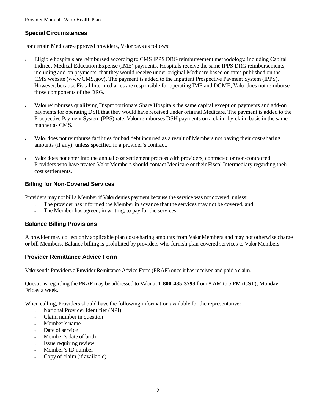#### **Special Circumstances**

For certain Medicare-approved providers, Valor pays as follows:

 Eligible hospitals are reimbursed according to CMS IPPS DRG reimbursement methodology, including Capital Indirect Medical Education Expense (IME) payments. Hospitals receive the same IPPS DRG reimbursements, including add-on payments, that they would receive under original Medicare based on rates published on the CMS website (www.CMS.gov). The payment is added to the Inpatient Prospective Payment System (IPPS). However, because Fiscal Intermediaries are responsible for operating IME and DGME, Valor does not reimburse those components of the DRG.

\_\_\_\_\_\_\_\_\_\_\_\_\_\_\_\_\_\_\_\_\_\_\_\_\_\_\_\_\_\_\_\_\_\_\_\_\_\_\_\_\_\_\_\_\_\_\_\_\_\_\_\_\_\_\_\_\_\_\_\_\_\_\_\_\_\_\_\_\_\_\_\_\_\_\_\_\_\_\_\_\_\_\_\_\_\_\_\_\_\_\_\_\_\_\_\_\_\_\_

- Valor reimburses qualifying Disproportionate Share Hospitals the same capital exception payments and add-on payments for operating DSH that they would have received under original Medicare. The payment is added to the Prospective Payment System (PPS) rate. Valor reimburses DSH payments on a claim-by-claim basis in the same manner as CMS.
- Valor does not reimburse facilities for bad debt incurred as a result of Members not paying their cost-sharing amounts (if any), unless specified in a provider's contract.
- Valor does not enter into the annual cost settlement process with providers, contracted or non-contracted. Providers who have treated Valor Members should contact Medicare or their Fiscal Intermediary regarding their cost settlements.

#### **Billing for Non-Covered Services**

Providers may not bill a Member if Valor denies payment because the service was not covered, unless:

- The provider has informed the Member in advance that the services may not be covered, and
- The Member has agreed, in writing, to pay for the services.

#### **Balance Billing Provisions**

A provider may collect only applicable plan cost-sharing amounts from Valor Members and may not otherwise charge or bill Members. Balance billing is prohibited by providers who furnish plan-covered services to Valor Members.

#### **Provider Remittance Advice Form**

Valor sends Providers a Provider Remittance Advice Form (PRAF) once it has received and paid a claim.

Questions regarding the PRAF may be addressed to Valor at **1-800-485-3793** from 8 AM to 5 PM (CST), Monday-Friday a week.

When calling, Providers should have the following information available for the representative:

- National Provider Identifier (NPI)
- Claim number in question
- Member's name
- Date of service
- Member's date of birth
- Issue requiring review
- Member's ID number
- Copy of claim (if available)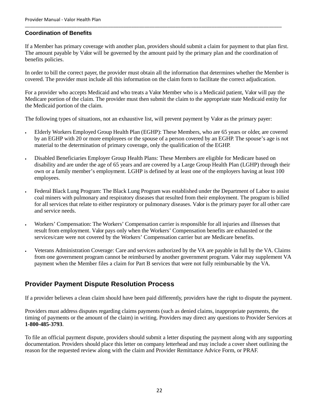#### **Coordination of Benefits**

If a Member has primary coverage with another plan, providers should submit a claim for payment to that plan first. The amount payable by Valor will be governed by the amount paid by the primary plan and the coordination of benefits policies.

\_\_\_\_\_\_\_\_\_\_\_\_\_\_\_\_\_\_\_\_\_\_\_\_\_\_\_\_\_\_\_\_\_\_\_\_\_\_\_\_\_\_\_\_\_\_\_\_\_\_\_\_\_\_\_\_\_\_\_\_\_\_\_\_\_\_\_\_\_\_\_\_\_\_\_\_\_\_\_\_\_\_\_\_\_\_\_\_\_\_\_\_\_\_\_\_\_\_\_

In order to bill the correct payer, the provider must obtain all the information that determines whether the Member is covered. The provider must include all this information on the claim form to facilitate the correct adjudication.

For a provider who accepts Medicaid and who treats a Valor Member who is a Medicaid patient, Valor will pay the Medicare portion of the claim. The provider must then submit the claim to the appropriate state Medicaid entity for the Medicaid portion of the claim.

The following types of situations, not an exhaustive list, will prevent payment by Valor as the primary payer:

- Elderly Workers Employed Group Health Plan (EGHP): These Members, who are 65 years or older, are covered by an EGHP with 20 or more employees or the spouse of a person covered by an EGHP. The spouse's age is not material to the determination of primary coverage, only the qualification of the EGHP.
- Disabled Beneficiaries Employer Group Health Plans: These Members are eligible for Medicare based on disability and are under the age of 65 years and are covered by a Large Group Health Plan (LGHP) through their own or a family member's employment. LGHP is defined by at least one of the employers having at least 100 employees.
- Federal Black Lung Program: The Black Lung Program was established under the Department of Labor to assist coal miners with pulmonary and respiratory diseases that resulted from their employment. The program is billed for all services that relate to either respiratory or pulmonary diseases. Valor is the primary payer for all other care and service needs.
- Workers' Compensation: The Workers' Compensation carrier is responsible for all injuries and illnesses that result from employment. Valor pays only when the Workers' Compensation benefits are exhausted or the services/care were not covered by the Workers' Compensation carrier but are Medicare benefits.
- Veterans Administration Coverage: Care and services authorized by the VA are payable in full by the VA. Claims from one government program cannot be reimbursed by another government program. Valor may supplement VA payment when the Member files a claim for Part B services that were not fully reimbursable by the VA.

### **Provider Payment Dispute Resolution Process**

If a provider believes a clean claim should have been paid differently, providers have the right to dispute the payment.

Providers must address disputes regarding claims payments (such as denied claims, inappropriate payments, the timing of payments or the amount of the claim) in writing. Providers may direct any questions to Provider Services at **1-800-485-3793**.

To file an official payment dispute, providers should submit a letter disputing the payment along with any supporting documentation. Providers should place this letter on company letterhead and may include a cover sheet outlining the reason for the requested review along with the claim and Provider Remittance Advice Form, or PRAF.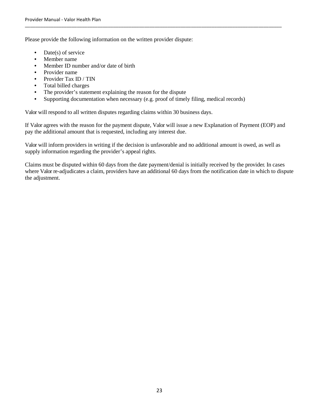Please provide the following information on the written provider dispute:

- Date(s) of service
- Member name
- Member ID number and/or date of birth
- Provider name
- Provider Tax ID / TIN
- Total billed charges
- The provider's statement explaining the reason for the dispute
- Supporting documentation when necessary (e.g. proof of timely filing, medical records)

Valor will respond to all written disputes regarding claims within 30 business days.

If Valor agrees with the reason for the payment dispute, Valor will issue a new Explanation of Payment (EOP) and pay the additional amount that is requested, including any interest due.

\_\_\_\_\_\_\_\_\_\_\_\_\_\_\_\_\_\_\_\_\_\_\_\_\_\_\_\_\_\_\_\_\_\_\_\_\_\_\_\_\_\_\_\_\_\_\_\_\_\_\_\_\_\_\_\_\_\_\_\_\_\_\_\_\_\_\_\_\_\_\_\_\_\_\_\_\_\_\_\_\_\_\_\_\_\_\_\_\_\_\_\_\_\_\_\_\_\_\_

Valor will inform providers in writing if the decision is unfavorable and no additional amount is owed, as well as supply information regarding the provider's appeal rights.

Claims must be disputed within 60 days from the date payment/denial is initially received by the provider. In cases where Valor re-adjudicates a claim, providers have an additional 60 days from the notification date in which to dispute the adjustment.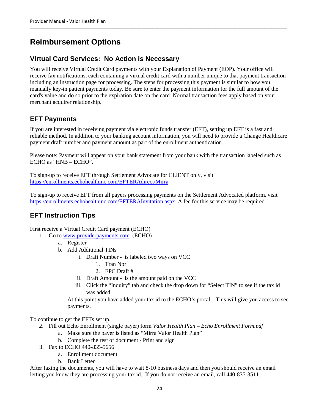# **Reimbursement Options**

# **Virtual Card Services: No Action is Necessary**

You will receive Virtual Credit Card payments with your Explanation of Payment (EOP). Your office will receive fax notifications, each containing a virtual credit card with a number unique to that payment transaction including an instruction page for processing. The steps for processing this payment is similar to how you manually key-in patient payments today. Be sure to enter the payment information for the full amount of the card's value and do so prior to the expiration date on the card. Normal transaction fees apply based on your merchant acquirer relationship.

# **EFT Payments**

If you are interested in receiving payment via electronic funds transfer (EFT), setting up EFT is a fast and reliable method. In addition to your banking account information, you will need to provide a Change Healthcare payment draft number and payment amount as part of the enrollment authentication.

Please note: Payment will appear on your bank statement from your bank with the transaction labeled such as ECHO as "HNB – ECHO".

To sign-up to receive EFT through Settlement Advocate for CLIENT only, visit https://enrollments.echohealthinc.com/EFTERAdirect/Mirra

To sign-up to receive EFT from all payers processing payments on the Settlement Advocated platform, visit https://enrollments.echohealthinc.com/EFTERAInvitation.aspx. A fee for this service may be required.

# **EFT Instruction Tips**

First receive a Virtual Credit Card payment (ECHO)

- 1. Go to www.providerpayments.com (ECHO)
	- a. Register
	- b. Add Additional TINs
		- i. Draft Number is labeled two ways on VCC
			- 1. Tran Nbr
			- 2. EPC Draft #
		- ii. Draft Amount is the amount paid on the VCC
		- iii. Click the "Inquiry" tab and check the drop down for "Select TIN" to see if the tax id was added.

At this point you have added your tax id to the ECHO's portal. This will give you access to see payments.

To continue to get the EFTs set up.

- *2.* Fill out Echo Enrollment (single payer) form *Valor Health Plan Echo Enrollment Form.pdf* 
	- a. Make sure the payer is listed as "Mirra Valor Health Plan"
	- b. Complete the rest of document Print and sign
- 3. Fax to ECHO 440-835-5656
	- a. Enrollment document
	- b. Bank Letter

After faxing the documents, you will have to wait 8-10 business days and then you should receive an email letting you know they are processing your tax id. If you do not receive an email, call 440-835-3511.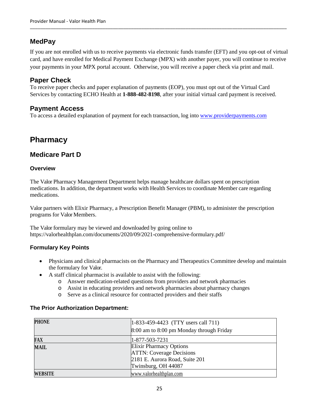# **MedPay**

If you are not enrolled with us to receive payments via electronic funds transfer (EFT) and you opt-out of virtual card, and have enrolled for Medical Payment Exchange (MPX) with another payer, you will continue to receive your payments in your MPX portal account. Otherwise, you will receive a paper check via print and mail.

### **Paper Check**

To receive paper checks and paper explanation of payments (EOP), you must opt out of the Virtual Card Services by contacting ECHO Health at **1-888-482-8198**, after your initial virtual card payment is received.

### **Payment Access**

To access a detailed explanation of payment for each transaction, log into www.providerpayments.com

# **Pharmacy**

### **Medicare Part D**

#### **Overview**

The Valor Pharmacy Management Department helps manage healthcare dollars spent on prescription medications. In addition, the department works with Health Services to coordinate Member care regarding medications.

Valor partners with Elixir Pharmacy, a Prescription Benefit Manager (PBM), to administer the prescription programs for Valor Members.

The Valor formulary may be viewed and downloaded by going online to https://valorhealthplan.com/documents/2020/09/2021-comprehensive-formulary.pdf/

### **Formulary Key Points**

- Physicians and clinical pharmacists on the Pharmacy and Therapeutics Committee develop and maintain the formulary for Valor.
- A staff clinical pharmacist is available to assist with the following:
	- o Answer medication-related questions from providers and network pharmacies
	- o Assist in educating providers and network pharmacies about pharmacy changes
	- o Serve as a clinical resource for contracted providers and their staffs

#### **The Prior Authorization Department:**

| <b>PHONE</b>   | $ 1-833-459-4423$ (TTY users call 711)   |
|----------------|------------------------------------------|
|                | 8:00 am to 8:00 pm Monday through Friday |
| FAX            | $1 - 877 - 503 - 7231$                   |
| <b>MAIL</b>    | <b>Elixir Pharmacy Options</b>           |
|                | <b>ATTN: Coverage Decisions</b>          |
|                | 2181 E. Aurora Road, Suite 201           |
|                | Twinsburg, OH 44087                      |
| <b>WEBSITE</b> | www.valorhealthplan.com                  |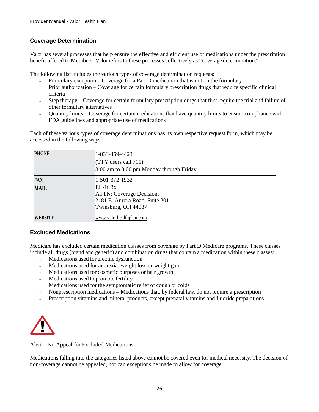### **Coverage Determination**

Valor has several processes that help ensure the effective and efficient use of medications under the prescription benefit offered to Members. Valor refers to these processes collectively as "coverage determination."

The following list includes the various types of coverage determination requests:

- Formulary exception Coverage for a Part D medication that is not on the formulary
- Prior authorization Coverage for certain formulary prescription drugs that require specific clinical criteria
- Step therapy Coverage for certain formulary prescription drugs that first require the trial and failure of other formulary alternatives
- Quantity limits Coverage for certain medications that have quantity limits to ensure compliance with FDA guidelines and appropriate use of medications

Each of these various types of coverage determinations has its own respective request form, which may be accessed in the following ways:

| <b>PHONE</b> | 1-833-459-4423<br>$(TTY$ users call $711$ )<br>8:00 am to 8:00 pm Monday through Friday               |
|--------------|-------------------------------------------------------------------------------------------------------|
| FAX          | 1-501-372-1932                                                                                        |
| <b>MAIL</b>  | Elixir Rx<br><b>ATTN: Coverage Decisions</b><br>2181 E. Aurora Road, Suite 201<br>Twinsburg, OH 44087 |
| WEBSITE      | www.valorhealthplan.com                                                                               |

### **Excluded Medications**

Medicare has excluded certain medication classes from coverage by Part D Medicare programs. These classes include all drugs (brand and generic) and combination drugs that contain a medication within these classes:

- Medications used for erectile dysfunction
- Medications used for anorexia, weight loss or weight gain
- Medications used for cosmetic purposes or hair growth
- Medications used to promote fertility
- Medications used for the symptomatic relief of cough or colds
- Nonprescription medications Medications that, by federal law, do not require a prescription
- Prescription vitamins and mineral products, except prenatal vitamins and fluoride preparations



Alert – No Appeal for Excluded Medications

Medications falling into the categories listed above cannot be covered even for medical necessity. The decision of non-coverage cannot be appealed, nor can exceptions be made to allow for coverage.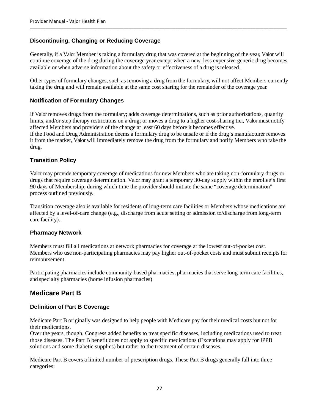### **Discontinuing, Changing or Reducing Coverage**

Generally, if a Valor Member is taking a formulary drug that was covered at the beginning of the year, Valor will continue coverage of the drug during the coverage year except when a new, less expensive generic drug becomes available or when adverse information about the safety or effectiveness of a drug is released.

Other types of formulary changes, such as removing a drug from the formulary, will not affect Members currently taking the drug and will remain available at the same cost sharing for the remainder of the coverage year.

#### **Notification of Formulary Changes**

If Valor removes drugs from the formulary; adds coverage determinations, such as prior authorizations, quantity limits, and/or step therapy restrictions on a drug; or moves a drug to a higher cost-sharing tier, Valor must notify affected Members and providers of the change at least 60 days before it becomes effective. If the Food and Drug Administration deems a formulary drug to be unsafe or if the drug's manufacturer removes it from the market, Valor will immediately remove the drug from the formulary and notify Members who take the drug.

#### **Transition Policy**

Valor may provide temporary coverage of medications for new Members who are taking non-formulary drugs or drugs that require coverage determination. Valor may grant a temporary 30-day supply within the enrollee's first 90 days of Membership, during which time the provider should initiate the same "coverage determination" process outlined previously.

Transition coverage also is available for residents of long-term care facilities or Members whose medications are affected by a level-of-care change (e.g., discharge from acute setting or admission to/discharge from long-term care facility).

#### **Pharmacy Network**

Members must fill all medications at network pharmacies for coverage at the lowest out-of-pocket cost. Members who use non-participating pharmacies may pay higher out-of-pocket costs and must submit receipts for reimbursement.

Participating pharmacies include community-based pharmacies, pharmacies that serve long-term care facilities, and specialty pharmacies (home infusion pharmacies)

### **Medicare Part B**

#### **Definition of Part B Coverage**

Medicare Part B originally was designed to help people with Medicare pay for their medical costs but not for their medications.

Over the years, though, Congress added benefits to treat specific diseases, including medications used to treat those diseases. The Part B benefit does not apply to specific medications (Exceptions may apply for IPPB solutions and some diabetic supplies) but rather to the treatment of certain diseases.

Medicare Part B covers a limited number of prescription drugs. These Part B drugs generally fall into three categories: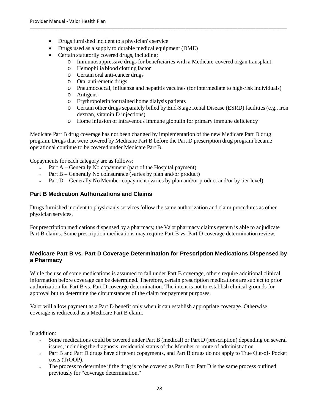- Drugs furnished incident to a physician's service
- Drugs used as a supply to durable medical equipment (DME)
- Certain statutorily covered drugs, including:
	- o Immunosuppressive drugs for beneficiaries with a Medicare-covered organ transplant
	- o Hemophilia blood clotting factor
	- o Certain oral anti-cancer drugs
	- o Oral anti-emetic drugs
	- o Pneumococcal, influenza and hepatitis vaccines (for intermediate to high-risk individuals)
	- o Antigens
	- o Erythropoietin for trained home dialysis patients
	- o Certain other drugs separately billed by End-Stage Renal Disease (ESRD) facilities (e.g., iron dextran, vitamin D injections)
	- o Home infusion of intravenous immune globulin for primary immune deficiency

Medicare Part B drug coverage has not been changed by implementation of the new Medicare Part D drug program. Drugs that were covered by Medicare Part B before the Part D prescription drug program became operational continue to be covered under Medicare Part B.

Copayments for each category are as follows:

- Part A Generally No copayment (part of the Hospital payment)
- Fart  $B -$  Generally No coinsurance (varies by plan and/or product)
- Fart  $D$  Generally No Member copayment (varies by plan and/or product and/or by tier level)

### **Part B Medication Authorizations and Claims**

Drugs furnished incident to physician's services follow the same authorization and claim procedures as other physician services.

For prescription medications dispensed by a pharmacy, the Valor pharmacy claims system is able to adjudicate Part B claims. Some prescription medications may require Part B vs. Part D coverage determination review.

### **Medicare Part B vs. Part D Coverage Determination for Prescription Medications Dispensed by a Pharmacy**

While the use of some medications is assumed to fall under Part B coverage, others require additional clinical information before coverage can be determined. Therefore, certain prescription medications are subject to prior authorization for Part B vs. Part D coverage determination. The intent is not to establish clinical grounds for approval but to determine the circumstances of the claim for payment purposes.

Valor will allow payment as a Part D benefit only when it can establish appropriate coverage. Otherwise, coverage is redirected as a Medicare Part B claim.

In addition:

- Some medications could be covered under Part B (medical) or Part D (prescription) depending on several issues, including the diagnosis, residential status of the Member or route of administration.
- Part B and Part D drugs have different copayments, and Part B drugs do not apply to True Out-of- Pocket costs (TrOOP).
- The process to determine if the drug is to be covered as Part B or Part D is the same process outlined previously for "coverage determination."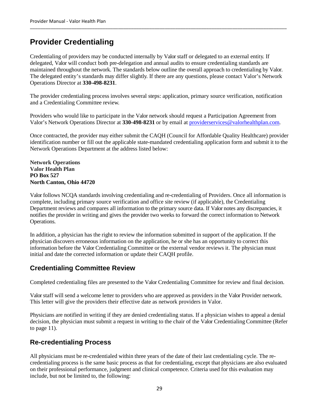# **Provider Credentialing**

Credentialing of providers may be conducted internally by Valor staff or delegated to an external entity. If delegated, Valor will conduct both pre-delegation and annual audits to ensure credentialing standards are maintained throughout the network. The standards below outline the overall approach to credentialing by Valor. The delegated entity's standards may differ slightly. If there are any questions, please contact Valor's Network Operations Director at **330-498-8231**.

The provider credentialing process involves several steps: application, primary source verification, notification and a Credentialing Committee review.

Providers who would like to participate in the Valor network should request a Participation Agreement from Valor's Network Operations Director at **330-498-8231** or by email at providerservices@valorhealthplan.com.

Once contracted, the provider may either submit the CAQH (Council for Affordable Quality Healthcare) provider identification number or fill out the applicable state-mandated credentialing application form and submit it to the Network Operations Department at the address listed below:

**Network Operations Valor Health Plan PO Box 527 North Canton, Ohio 44720** 

Valor follows NCQA standards involving credentialing and re-credentialing of Providers. Once all information is complete, including primary source verification and office site review (if applicable), the Credentialing Department reviews and compares all information to the primary source data. If Valor notes any discrepancies, it notifies the provider in writing and gives the provider two weeks to forward the correct information to Network Operations.

In addition, a physician has the right to review the information submitted in support of the application. If the physician discovers erroneous information on the application, he or she has an opportunity to correct this information before the Valor Credentialing Committee or the external vendor reviews it. The physician must initial and date the corrected information or update their CAQH profile.

# **Credentialing Committee Review**

Completed credentialing files are presented to the Valor Credentialing Committee for review and final decision.

Valor staff will send a welcome letter to providers who are approved as providers in the Valor Provider network. This letter will give the providers their effective date as network providers in Valor.

Physicians are notified in writing if they are denied credentialing status. If a physician wishes to appeal a denial decision, the physician must submit a request in writing to the chair of the Valor Credentialing Committee (Refer to page 11).

### **Re-credentialing Process**

All physicians must be re-credentialed within three years of the date of their last credentialing cycle. The recredentialing process is the same basic process as that for credentialing, except that physicians are also evaluated on their professional performance, judgment and clinical competence. Criteria used for this evaluation may include, but not be limited to, the following: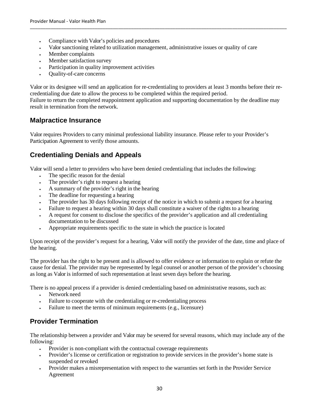- Compliance with Valor's policies and procedures
- Valor sanctioning related to utilization management, administrative issues or quality of care
- Member complaints
- Member satisfaction survey
- Participation in quality improvement activities
- Quality-of-care concerns

Valor or its designee will send an application for re-credentialing to providers at least 3 months before their recredentialing due date to allow the process to be completed within the required period.

Failure to return the completed reappointment application and supporting documentation by the deadline may result in termination from the network.

### **Malpractice Insurance**

Valor requires Providers to carry minimal professional liability insurance. Please refer to your Provider's Participation Agreement to verify those amounts.

# **Credentialing Denials and Appeals**

Valor will send a letter to providers who have been denied credentialing that includes the following:

- The specific reason for the denial
- The provider's right to request a hearing
- A summary of the provider's right in the hearing
- The deadline for requesting a hearing
- The provider has 30 days following receipt of the notice in which to submit a request for a hearing
- Failure to request a hearing within 30 days shall constitute a waiver of the rights to a hearing
- A request for consent to disclose the specifics of the provider's application and all credentialing documentation to be discussed
- Appropriate requirements specific to the state in which the practice is located

Upon receipt of the provider's request for a hearing, Valor will notify the provider of the date, time and place of the hearing.

The provider has the right to be present and is allowed to offer evidence or information to explain or refute the cause for denial. The provider may be represented by legal counsel or another person of the provider's choosing as long as Valor is informed of such representation at least seven days before the hearing.

There is no appeal process if a provider is denied credentialing based on administrative reasons, such as:

- Network need
- Failure to cooperate with the credentialing or re-credentialing process
- Failure to meet the terms of minimum requirements (e.g., licensure)

# **Provider Termination**

The relationship between a provider and Valor may be severed for several reasons, which may include any of the following:

- Provider is non-compliant with the contractual coverage requirements
- Provider's license or certification or registration to provide services in the provider's home state is suspended or revoked
- Provider makes a misrepresentation with respect to the warranties set forth in the Provider Service Agreement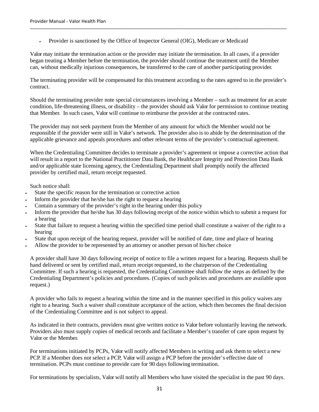Provider is sanctioned by the Office of Inspector General (OIG), Medicare or Medicaid

Valor may initiate the termination action or the provider may initiate the termination. In all cases, if a provider began treating a Member before the termination, the provider should continue the treatment until the Member can, without medically injurious consequences, be transferred to the care of another participating provider.

The terminating provider will be compensated for this treatment according to the rates agreed to in the provider's contract.

Should the terminating provider note special circumstances involving a Member – such as treatment for an acute condition, life-threatening illness, or disability – the provider should ask Valor for permission to continue treating that Member. In such cases, Valor will continue to reimburse the provider at the contracted rates.

The provider may not seek payment from the Member of any amount for which the Member would not be responsible if the provider were still in Valor's network. The provider also is to abide by the determination of the applicable grievance and appeals procedures and other relevant terms of the provider's contractual agreement.

When the Credentialing Committee decides to terminate a provider's agreement or impose a corrective action that will result in a report to the National Practitioner Data Bank, the Healthcare Integrity and Protection Data Bank and/or applicable state licensing agency, the Credentialing Department shall promptly notify the affected provider by certified mail, return receipt requested.

Such notice shall:

- State the specific reason for the termination or corrective action
- Inform the provider that he/she has the right to request a hearing
- Contain a summary of the provider's right in the hearing under this policy
- Inform the provider that he/she has 30 days following receipt of the notice within which to submit a request for a hearing
- State that failure to request a hearing within the specified time period shall constitute a waiver of the right to a hearing
- State that upon receipt of the hearing request, provider will be notified of date, time and place of hearing
- Allow the provider to be represented by an attorney or another person of his/her choice

A provider shall have 30 days following receipt of notice to file a written request for a hearing. Requests shall be hand delivered or sent by certified mail, return receipt requested, to the chairperson of the Credentialing Committee. If such a hearing is requested, the Credentialing Committee shall follow the steps as defined by the Credentialing Department's policies and procedures. (Copies of such policies and procedures are available upon request.)

A provider who fails to request a hearing within the time and in the manner specified in this policy waives any right to a hearing. Such a waiver shall constitute acceptance of the action, which then becomes the final decision of the Credentialing Committee and is not subject to appeal.

As indicated in their contracts, providers must give written notice to Valor before voluntarily leaving the network. Providers also must supply copies of medical records and facilitate a Member's transfer of care upon request by Valor or the Member.

For terminations initiated by PCPs, Valor will notify affected Members in writing and ask them to select a new PCP. If a Member does not select a PCP, Valor will assign a PCP before the provider's effective date of termination. PCPs must continue to provide care for 90 days following termination.

For terminations by specialists, Valor will notify all Members who have visited the specialist in the past 90 days.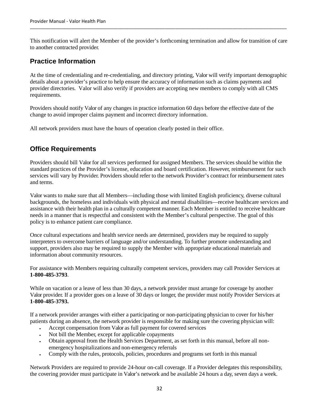This notification will alert the Member of the provider's forthcoming termination and allow for transition of care to another contracted provider.

# **Practice Information**

At the time of credentialing and re-credentialing, and directory printing, Valor will verify important demographic details about a provider's practice to help ensure the accuracy of information such as claims payments and provider directories. Valor will also verify if providers are accepting new members to comply with all CMS requirements.

Providers should notify Valor of any changes in practice information 60 days before the effective date of the change to avoid improper claims payment and incorrect directory information.

All network providers must have the hours of operation clearly posted in their office.

### **Office Requirements**

Providers should bill Valor for all services performed for assigned Members. The services should be within the standard practices of the Provider's license, education and board certification. However, reimbursement for such services will vary by Provider. Providers should refer to the network Provider's contract for reimbursement rates and terms.

Valor wants to make sure that all Members—including those with limited English proficiency, diverse cultural backgrounds, the homeless and individuals with physical and mental disabilities—receive healthcare services and assistance with their health plan in a culturally competent manner. Each Member is entitled to receive healthcare needs in a manner that is respectful and consistent with the Member's cultural perspective. The goal of this policy is to enhance patient care compliance.

Once cultural expectations and health service needs are determined, providers may be required to supply interpreters to overcome barriers of language and/or understanding. To further promote understanding and support, providers also may be required to supply the Member with appropriate educational materials and information about community resources.

For assistance with Members requiring culturally competent services, providers may call Provider Services at **1-800-485-3793**.

While on vacation or a leave of less than 30 days, a network provider must arrange for coverage by another Valor provider. If a provider goes on a leave of 30 days or longer, the provider must notify Provider Services at **1-800-485-3793.** 

If a network provider arranges with either a participating or non-participating physician to cover for his/her patients during an absence, the network provider is responsible for making sure the covering physician will:

- Accept compensation from Valor as full payment for covered services
- Not bill the Member, except for applicable copayments
- Obtain approval from the Health Services Department, as set forth in this manual, before all nonemergency hospitalizations and non-emergency referrals
- Comply with the rules, protocols, policies, procedures and programs set forth in this manual

Network Providers are required to provide 24-hour on-call coverage. If a Provider delegates this responsibility, the covering provider must participate in Valor's network and be available 24 hours a day, seven days a week.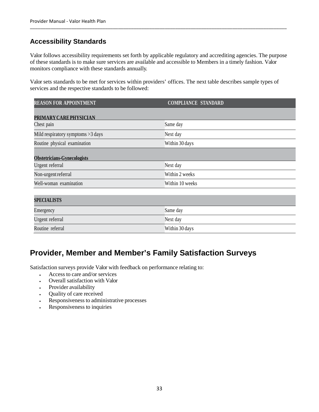# **Accessibility Standards**

Valor follows accessibility requirements set forth by applicable regulatory and accrediting agencies. The purpose of these standards is to make sure services are available and accessible to Members in a timely fashion. Valor monitors compliance with these standards annually.

\_\_\_\_\_\_\_\_\_\_\_\_\_\_\_\_\_\_\_\_\_\_\_\_\_\_\_\_\_\_\_\_\_\_\_\_\_\_\_\_\_\_\_\_\_\_\_\_\_\_\_\_\_\_\_\_\_\_\_\_\_\_\_\_\_\_\_\_\_\_\_\_\_\_\_\_\_\_\_\_\_\_\_\_\_\_\_\_\_\_\_\_\_\_\_\_\_\_\_

Valor sets standards to be met for services within providers' offices. The next table describes sample types of services and the respective standards to be followed:

| <b>REASON FOR APPOINTMENT</b>      | <b>COMPLIANCE STANDARD</b> |
|------------------------------------|----------------------------|
| PRIMARY CARE PHYSICIAN             |                            |
| Chest pain                         | Same day                   |
| Mild respiratory symptoms >3 days  | Next day                   |
| Routine physical examination       | Within 30 days             |
| <b>Obstetricians-Gynecologists</b> |                            |
| Urgent referral                    | Next day                   |
| Non-urgent referral                | Within 2 weeks             |
| Well-woman examination             | Within 10 weeks            |
| <b>SPECIALISTS</b>                 |                            |
| Emergency                          | Same day                   |
| Urgent referral                    | Next day                   |
| Routine referral                   | Within 30 days             |

# **Provider, Member and Member's Family Satisfaction Surveys**

Satisfaction surveys provide Valor with feedback on performance relating to:

- Access to care and/or services
- Overall satisfaction with Valor
- Provider availability
- Quality of care received
- Responsiveness to administrative processes
- Responsiveness to inquiries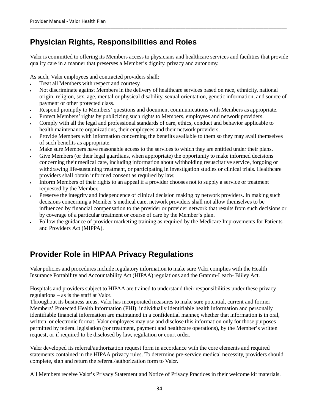# **Physician Rights, Responsibilities and Roles**

Valor is committed to offering its Members access to physicians and healthcare services and facilities that provide quality care in a manner that preserves a Member's dignity, privacy and autonomy.

As such, Valor employees and contracted providers shall:

- Treat all Members with respect and courtesy.
- Not discriminate against Members in the delivery of healthcare services based on race, ethnicity, national origin, religion, sex, age, mental or physical disability, sexual orientation, genetic information, and source of payment or other protected class.
- Respond promptly to Members' questions and document communications with Members as appropriate.
- Protect Members' rights by publicizing such rights to Members, employees and network providers.
- Comply with all the legal and professional standards of care, ethics, conduct and behavior applicable to health maintenance organizations, their employees and their network providers.
- Provide Members with information concerning the benefits available to them so they may avail themselves of such benefits as appropriate.
- Make sure Members have reasonable access to the services to which they are entitled under their plans.
- Give Members (or their legal guardians, when appropriate) the opportunity to make informed decisions concerning their medical care, including information about withholding resuscitative service, forgoing or withdrawing life-sustaining treatment, or participating in investigation studies or clinical trials. Healthcare providers shall obtain informed consent as required by law.
- Inform Members of their rights to an appeal if a provider chooses not to supply a service or treatment requested by the Member.
- Preserve the integrity and independence of clinical decision making by network providers. In making such decisions concerning a Member's medical care, network providers shall not allow themselves to be influenced by financial compensation to the provider or provider network that results from such decisions or by coverage of a particular treatment or course of care by the Member's plan.
- Follow the guidance of provider marketing training as required by the Medicare Improvements for Patients and Providers Act (MIPPA).

# **Provider Role in HIPAA Privacy Regulations**

Valor policies and procedures include regulatory information to make sure Valor complies with the Health Insurance Portability and Accountability Act (HIPAA) regulations and the Gramm-Leach- Bliley Act.

Hospitals and providers subject to HIPAA are trained to understand their responsibilities under these privacy regulations – as is the staff at Valor.

Throughout its business areas, Valor has incorporated measures to make sure potential, current and former Members' Protected Health Information (PHI), individually identifiable health information and personally identifiable financial information are maintained in a confidential manner, whether that information is in oral, written, or electronic format. Valor employees may use and disclose this information only for those purposes permitted by federal legislation (for treatment, payment and healthcare operations), by the Member's written request, or if required to be disclosed by law, regulation or court order.

Valor developed its referral/authorization request form in accordance with the core elements and required statements contained in the HIPAA privacy rules. To determine pre-service medical necessity, providers should complete, sign and return the referral/authorization form to Valor.

All Members receive Valor's Privacy Statement and Notice of Privacy Practices in their welcome kit materials.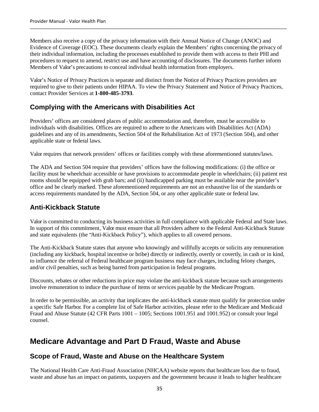Members also receive a copy of the privacy information with their Annual Notice of Change (ANOC) and Evidence of Coverage (EOC). These documents clearly explain the Members' rights concerning the privacy of their individual information, including the processes established to provide them with access to their PHI and procedures to request to amend, restrict use and have accounting of disclosures. The documents further inform Members of Valor's precautions to conceal individual health information from employers.

Valor's Notice of Privacy Practices is separate and distinct from the Notice of Privacy Practices providers are required to give to their patients under HIPAA. To view the Privacy Statement and Notice of Privacy Practices, contact Provider Services at **1-800-485-3793**.

# **Complying with the Americans with Disabilities Act**

Providers' offices are considered places of public accommodation and, therefore, must be accessible to individuals with disabilities. Offices are required to adhere to the Americans with Disabilities Act (ADA) guidelines and any of its amendments, Section 504 of the Rehabilitation Act of 1973 (Section 504), and other applicable state or federal laws.

Valor requires that network providers' offices or facilities comply with these aforementioned statutes/laws.

The ADA and Section 504 require that providers' offices have the following modifications: (i) the office or facility must be wheelchair accessible or have provisions to accommodate people in wheelchairs; (ii) patient rest rooms should be equipped with grab bars; and (ii) handicapped parking must be available near the provider's office and be clearly marked. These aforementioned requirements are not an exhaustive list of the standards or access requirements mandated by the ADA, Section 504, or any other applicable state or federal law.

## **Anti-Kickback Statute**

Valor is committed to conducting its business activities in full compliance with applicable Federal and State laws. In support of this commitment, Valor must ensure that all Providers adhere to the Federal Anti-Kickback Statute and state equivalents (the "Anti-Kickback Policy"), which applies to all covered persons.

The Anti-Kickback Statute states that anyone who knowingly and willfully accepts or solicits any remuneration (including any kickback, hospital incentive or bribe) directly or indirectly, overtly or covertly, in cash or in kind, to influence the referral of Federal healthcare program business may face charges, including felony charges, and/or civil penalties, such as being barred from participation in federal programs.

Discounts, rebates or other reductions in price may violate the anti-kickback statute because such arrangements involve remuneration to induce the purchase of items or services payable by the Medicare Program.

In order to be permissible, an activity that implicates the anti-kickback statute must qualify for protection under a specific Safe Harbor. For a complete list of Safe Harbor activities, please refer to the Medicare and Medicaid Fraud and Abuse Statute (42 CFR Parts 1001 – 1005; Sections 1001.951 and 1001.952) or consult your legal counsel.

# **Medicare Advantage and Part D Fraud, Waste and Abuse**

### **Scope of Fraud, Waste and Abuse on the Healthcare System**

The National Health Care Anti-Fraud Association (NHCAA) website reports that healthcare loss due to fraud, waste and abuse has an impact on patients, taxpayers and the government because it leads to higher healthcare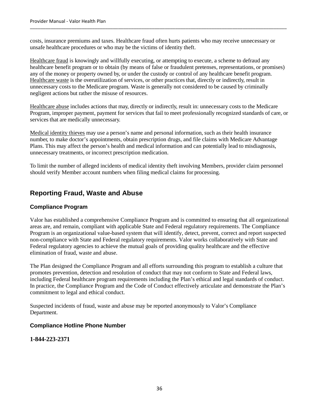costs, insurance premiums and taxes. Healthcare fraud often hurts patients who may receive unnecessary or unsafe healthcare procedures or who may be the victims of identity theft.

\_\_\_\_\_\_\_\_\_\_\_\_\_\_\_\_\_\_\_\_\_\_\_\_\_\_\_\_\_\_\_\_\_\_\_\_\_\_\_\_\_\_\_\_\_\_\_\_\_\_\_\_\_\_\_\_\_\_\_\_\_\_\_\_\_\_\_\_\_\_\_\_\_\_\_\_\_\_\_\_\_\_\_\_\_\_\_\_\_\_\_\_\_\_\_\_\_\_\_

Healthcare fraud is knowingly and willfully executing, or attempting to execute, a scheme to defraud any healthcare benefit program or to obtain (by means of false or fraudulent pretenses, representations, or promises) any of the money or property owned by, or under the custody or control of any healthcare benefit program. Healthcare waste is the overutilization of services, or other practices that, directly or indirectly, result in unnecessary costs to the Medicare program. Waste is generally not considered to be caused by criminally negligent actions but rather the misuse of resources.

Healthcare abuse includes actions that may, directly or indirectly, result in: unnecessary costs to the Medicare Program, improper payment, payment for services that fail to meet professionally recognized standards of care, or services that are medically unnecessary.

Medical identity thieves may use a person's name and personal information, such as their health insurance number, to make doctor's appointments, obtain prescription drugs, and file claims with Medicare Advantage Plans. This may affect the person's health and medical information and can potentially lead to misdiagnosis, unnecessary treatments, or incorrect prescription medication.

To limit the number of alleged incidents of medical identity theft involving Members, provider claim personnel should verify Member account numbers when filing medical claims for processing.

### **Reporting Fraud, Waste and Abuse**

### **Compliance Program**

Valor has established a comprehensive Compliance Program and is committed to ensuring that all organizational areas are, and remain, compliant with applicable State and Federal regulatory requirements. The Compliance Program is an organizational value-based system that will identify, detect, prevent, correct and report suspected non-compliance with State and Federal regulatory requirements. Valor works collaboratively with State and Federal regulatory agencies to achieve the mutual goals of providing quality healthcare and the effective elimination of fraud, waste and abuse.

The Plan designed the Compliance Program and all efforts surrounding this program to establish a culture that promotes prevention, detection and resolution of conduct that may not conform to State and Federal laws, including Federal healthcare program requirements including the Plan's ethical and legal standards of conduct. In practice, the Compliance Program and the Code of Conduct effectively articulate and demonstrate the Plan's commitment to legal and ethical conduct.

Suspected incidents of fraud, waste and abuse may be reported anonymously to Valor's Compliance Department.

#### **Compliance Hotline Phone Number**

### **1-844-223-2371**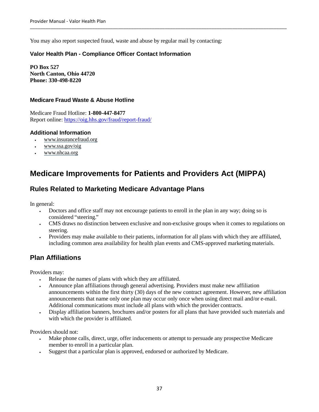You may also report suspected fraud, waste and abuse by regular mail by contacting:

### **Valor Health Plan - Compliance Officer Contact Information**

**PO Box 527 North Canton, Ohio 44720 Phone: 330-498-8220** 

### **Medicare Fraud Waste & Abuse Hotline**

Medicare Fraud Hotline: **1-800-447-8477**  Report online: https://oig.hhs.gov/fraud/report-fraud/

### **Additional Information**

- www.insurancefraud.org
- www.ssa.gov/oig
- www.nhcaa.org

# **Medicare Improvements for Patients and Providers Act (MIPPA)**

### **Rules Related to Marketing Medicare Advantage Plans**

In general:

- Doctors and office staff may not encourage patients to enroll in the plan in any way; doing so is considered "steering."
- CMS draws no distinction between exclusive and non-exclusive groups when it comes to regulations on steering.
- Providers may make available to their patients, information for all plans with which they are affiliated, including common area availability for health plan events and CMS-approved marketing materials.

### **Plan Affiliations**

Providers may:

- Release the names of plans with which they are affiliated.
- Announce plan affiliations through general advertising. Providers must make new affiliation announcements within the first thirty (30) days of the new contract agreement. However, new affiliation announcements that name only one plan may occur only once when using direct mail and/or e-mail. Additional communications must include all plans with which the provider contracts.
- Display affiliation banners, brochures and/or posters for all plans that have provided such materials and with which the provider is affiliated.

Providers should not:

- Make phone calls, direct, urge, offer inducements or attempt to persuade any prospective Medicare member to enroll in a particular plan.
- Suggest that a particular plan is approved, endorsed or authorized by Medicare.